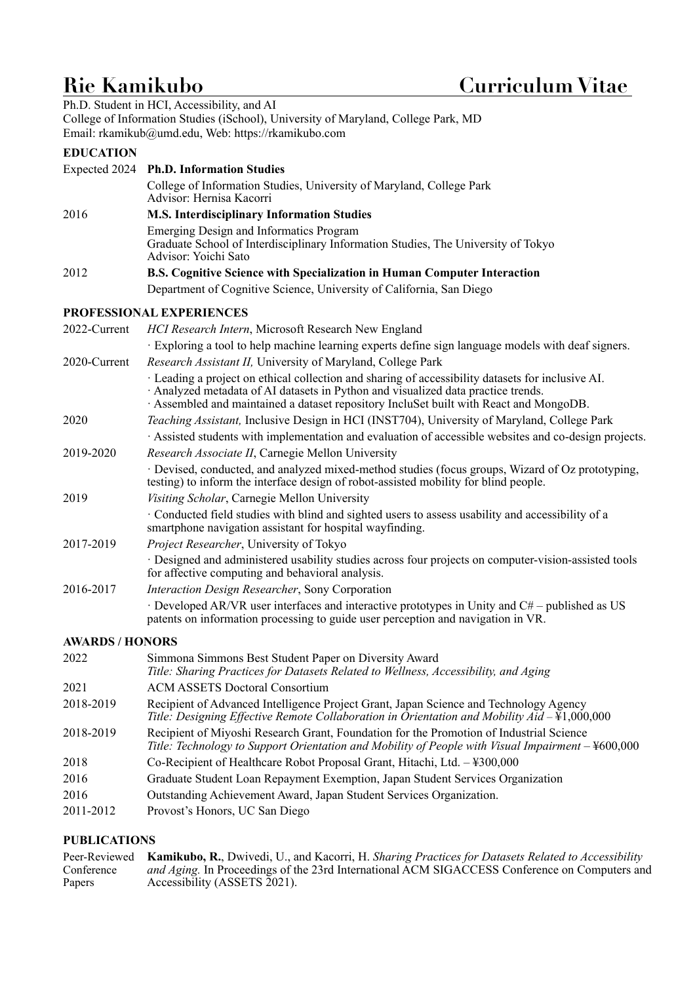# **Rie Kamikubo Curriculum Vitae**

Ph.D. Student in HCI, Accessibility, and AI College of Information Studies (iSchool), University of Maryland, College Park, MD Email: [rkamikub@umd.edu,](mailto:rkamikub@umd.edu) Web: <https://rkamikubo.com>

## **EDUCATION**

|                        | Expected 2024 Ph.D. Information Studies                                                                                                                                                                                                                                      |
|------------------------|------------------------------------------------------------------------------------------------------------------------------------------------------------------------------------------------------------------------------------------------------------------------------|
|                        | College of Information Studies, University of Maryland, College Park                                                                                                                                                                                                         |
|                        | Advisor: Hernisa Kacorri                                                                                                                                                                                                                                                     |
| 2016                   | <b>M.S. Interdisciplinary Information Studies</b>                                                                                                                                                                                                                            |
|                        | Emerging Design and Informatics Program<br>Graduate School of Interdisciplinary Information Studies, The University of Tokyo<br>Advisor: Yoichi Sato                                                                                                                         |
| 2012                   | B.S. Cognitive Science with Specialization in Human Computer Interaction                                                                                                                                                                                                     |
|                        | Department of Cognitive Science, University of California, San Diego                                                                                                                                                                                                         |
|                        | PROFESSIONAL EXPERIENCES                                                                                                                                                                                                                                                     |
| 2022-Current           | HCI Research Intern, Microsoft Research New England                                                                                                                                                                                                                          |
| 2020-Current           | Exploring a tool to help machine learning experts define sign language models with deaf signers.<br>Research Assistant II, University of Maryland, College Park                                                                                                              |
|                        | · Leading a project on ethical collection and sharing of accessibility datasets for inclusive AI.<br>Analyzed metadata of AI datasets in Python and visualized data practice trends.<br>Assembled and maintained a dataset repository IncluSet built with React and MongoDB. |
| 2020                   | Teaching Assistant, Inclusive Design in HCI (INST704), University of Maryland, College Park                                                                                                                                                                                  |
|                        | Assisted students with implementation and evaluation of accessible websites and co-design projects.                                                                                                                                                                          |
| 2019-2020              | Research Associate II, Carnegie Mellon University                                                                                                                                                                                                                            |
|                        | · Devised, conducted, and analyzed mixed-method studies (focus groups, Wizard of Oz prototyping,<br>testing) to inform the interface design of robot-assisted mobility for blind people.                                                                                     |
| 2019                   | Visiting Scholar, Carnegie Mellon University                                                                                                                                                                                                                                 |
|                        | · Conducted field studies with blind and sighted users to assess usability and accessibility of a<br>smartphone navigation assistant for hospital wayfinding.                                                                                                                |
| 2017-2019              | Project Researcher, University of Tokyo                                                                                                                                                                                                                                      |
|                        | · Designed and administered usability studies across four projects on computer-vision-assisted tools<br>for affective computing and behavioral analysis.                                                                                                                     |
| 2016-2017              | Interaction Design Researcher, Sony Corporation                                                                                                                                                                                                                              |
|                        | $\cdot$ Developed AR/VR user interfaces and interactive prototypes in Unity and C# – published as US<br>patents on information processing to guide user perception and navigation in VR.                                                                                     |
| <b>AWARDS / HONORS</b> |                                                                                                                                                                                                                                                                              |
| 2022                   | Simmona Simmons Best Student Paper on Diversity Award                                                                                                                                                                                                                        |

| 2022      | Simmona Simmons Best Student Paper on Diversity Award<br>Title: Sharing Practices for Datasets Related to Wellness, Accessibility, and Aging                                                 |
|-----------|----------------------------------------------------------------------------------------------------------------------------------------------------------------------------------------------|
| 2021      | <b>ACM ASSETS Doctoral Consortium</b>                                                                                                                                                        |
| 2018-2019 | Recipient of Advanced Intelligence Project Grant, Japan Science and Technology Agency<br>Title: Designing Effective Remote Collaboration in Orientation and Mobility Aid - \ff 1,000,000     |
| 2018-2019 | Recipient of Miyoshi Research Grant, Foundation for the Promotion of Industrial Science<br>Title: Technology to Support Orientation and Mobility of People with Visual Impairment – ¥600,000 |
| 2018      | Co-Recipient of Healthcare Robot Proposal Grant, Hitachi, Ltd. - ¥300,000                                                                                                                    |
| 2016      | Graduate Student Loan Repayment Exemption, Japan Student Services Organization                                                                                                               |
| 2016      | Outstanding Achievement Award, Japan Student Services Organization.                                                                                                                          |
| 2011-2012 | Provost's Honors, UC San Diego                                                                                                                                                               |

### **PUBLICATIONS**

|            | Peer-Reviewed Kamikubo, R., Dwivedi, U., and Kacorri, H. Sharing Practices for Datasets Related to Accessibility |
|------------|------------------------------------------------------------------------------------------------------------------|
| Conference | <i>and Aging.</i> In Proceedings of the 23rd International ACM SIGACCESS Conference on Computers and             |
| Papers     | Accessibility (ASSETS 2021).                                                                                     |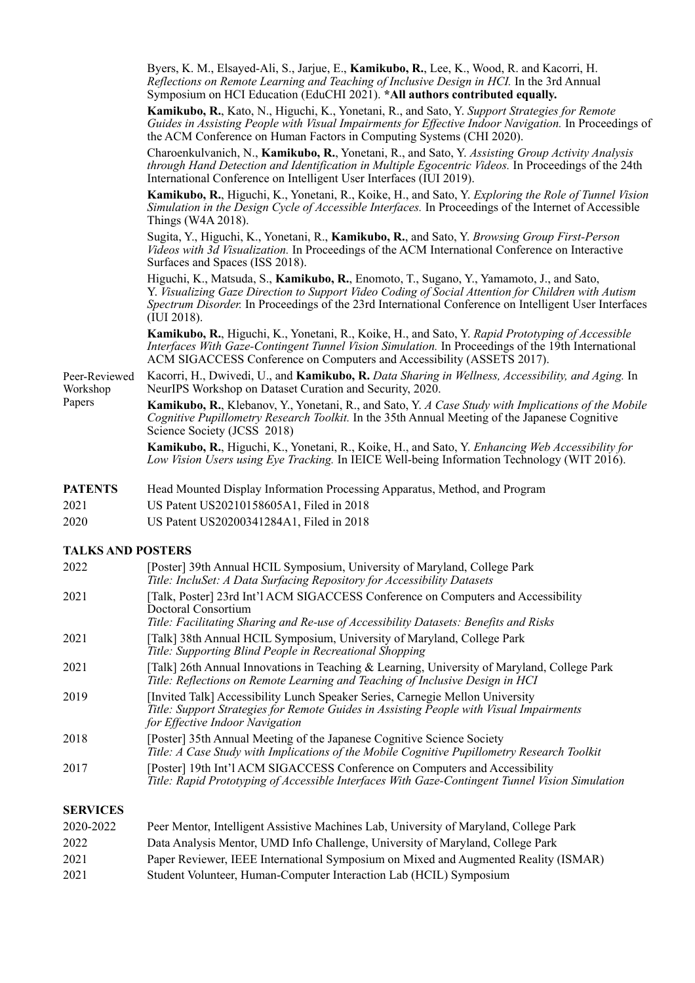|                                     | Byers, K. M., Elsayed-Ali, S., Jarjue, E., Kamikubo, R., Lee, K., Wood, R. and Kacorri, H.<br>Reflections on Remote Learning and Teaching of Inclusive Design in HCI. In the 3rd Annual<br>Symposium on HCI Education (EduCHI 2021). *All authors contributed equally.                                                 |
|-------------------------------------|------------------------------------------------------------------------------------------------------------------------------------------------------------------------------------------------------------------------------------------------------------------------------------------------------------------------|
|                                     | Kamikubo, R., Kato, N., Higuchi, K., Yonetani, R., and Sato, Y. Support Strategies for Remote<br>Guides in Assisting People with Visual Impairments for Effective Indoor Navigation. In Proceedings of<br>the ACM Conference on Human Factors in Computing Systems (CHI 2020).                                         |
|                                     | Charoenkulvanich, N., Kamikubo, R., Yonetani, R., and Sato, Y. Assisting Group Activity Analysis<br>through Hand Detection and Identification in Multiple Egocentric Videos. In Proceedings of the 24th<br>International Conference on Intelligent User Interfaces (IUI 2019).                                         |
|                                     | Kamikubo, R., Higuchi, K., Yonetani, R., Koike, H., and Sato, Y. Exploring the Role of Tunnel Vision<br>Simulation in the Design Cycle of Accessible Interfaces. In Proceedings of the Internet of Accessible<br>Things (W4A 2018).                                                                                    |
|                                     | Sugita, Y., Higuchi, K., Yonetani, R., Kamikubo, R., and Sato, Y. Browsing Group First-Person<br>Videos with 3d Visualization. In Proceedings of the ACM International Conference on Interactive<br>Surfaces and Spaces (ISS 2018).                                                                                    |
|                                     | Higuchi, K., Matsuda, S., Kamikubo, R., Enomoto, T., Sugano, Y., Yamamoto, J., and Sato,<br>Y. Visualizing Gaze Direction to Support Video Coding of Social Attention for Children with Autism<br>Spectrum Disorder. In Proceedings of the 23rd International Conference on Intelligent User Interfaces<br>(III 2018). |
|                                     | Kamikubo, R., Higuchi, K., Yonetani, R., Koike, H., and Sato, Y. Rapid Prototyping of Accessible<br>Interfaces With Gaze-Contingent Tunnel Vision Simulation. In Proceedings of the 19th International<br>ACM SIGACCESS Conference on Computers and Accessibility (ASSETS 2017).                                       |
| Peer-Reviewed<br>Workshop<br>Papers | Kacorri, H., Dwivedi, U., and Kamikubo, R. Data Sharing in Wellness, Accessibility, and Aging. In<br>NeurIPS Workshop on Dataset Curation and Security, 2020.                                                                                                                                                          |
|                                     | <b>Kamikubo, R.</b> , Klebanov, Y., Yonetani, R., and Sato, Y. A Case Study with Implications of the Mobile<br>Cognitive Pupillometry Research Toolkit. In the 35th Annual Meeting of the Japanese Cognitive<br>Science Society (JCSS 2018)                                                                            |
|                                     | Kamikubo, R., Higuchi, K., Yonetani, R., Koike, H., and Sato, Y. Enhancing Web Accessibility for<br>Low Vision Users using Eye Tracking. In IEICE Well-being Information Technology (WIT 2016).                                                                                                                        |
| <b>PATENTS</b>                      | Head Mounted Display Information Processing Apparatus, Method, and Program                                                                                                                                                                                                                                             |
| 2021                                | US Patent US20210158605A1, Filed in 2018                                                                                                                                                                                                                                                                               |
| 2020                                | US Patent US20200341284A1, Filed in 2018                                                                                                                                                                                                                                                                               |
| <b>TALKS AND POSTERS</b>            |                                                                                                                                                                                                                                                                                                                        |
| 2022                                | [Poster] 39th Annual HCIL Symposium, University of Maryland, College Park<br>Title: IncluSet: A Data Surfacing Repository for Accessibility Datasets                                                                                                                                                                   |
| 2021                                | [Talk, Poster] 23rd Int'l ACM SIGACCESS Conference on Computers and Accessibility<br>Doctoral Consortium<br>Title: Facilitating Sharing and Re-use of Accessibility Datasets: Benefits and Risks                                                                                                                       |
| 2021                                | [Talk] 38th Annual HCIL Symposium, University of Maryland, College Park<br>Title: Supporting Blind People in Recreational Shopping                                                                                                                                                                                     |
| 2021                                | [Talk] 26th Annual Innovations in Teaching & Learning, University of Maryland, College Park<br>Title: Reflections on Remote Learning and Teaching of Inclusive Design in HCI                                                                                                                                           |
| 2019                                | [Invited Talk] Accessibility Lunch Speaker Series, Carnegie Mellon University<br>Title: Support Strategies for Remote Guides in Assisting People with Visual Impairments<br>for Effective Indoor Navigation                                                                                                            |

*Title: A Case Study with Implications of the Mobile Cognitive Pupillometry Research Toolkit* 

*Title: Rapid Prototyping of Accessible Interfaces With Gaze-Contingent Tunnel Vision Simulation* 

2018 [Poster] 35th Annual Meeting of the Japanese Cognitive Science Society

2021 Student Volunteer, Human-Computer Interaction Lab (HCIL) Symposium

**SERVICES** 

2017 [Poster] 19th Int'l ACM SIGACCESS Conference on Computers and Accessibility

2020-2022 Peer Mentor, Intelligent Assistive Machines Lab, University of Maryland, College Park 2022 Data Analysis Mentor, UMD Info Challenge, University of Maryland, College Park

2021 Paper Reviewer, IEEE International Symposium on Mixed and Augmented Reality (ISMAR)